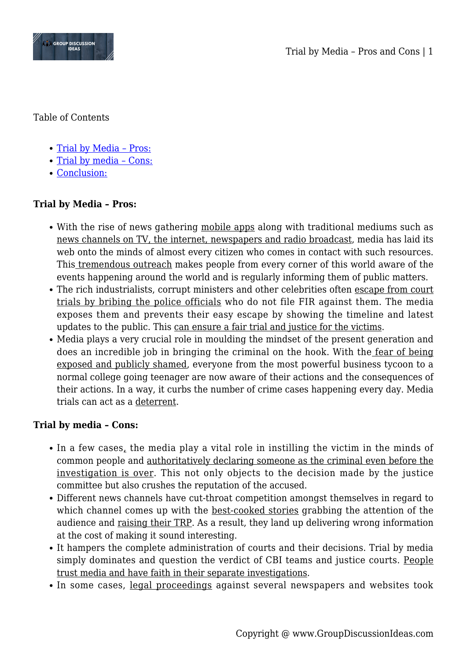

Table of Contents

- Trial by Media Pros:
- [Trial by media Cons:](#page--1-0)
- [Conclusion:](#page--1-0)

## **Trial by Media – Pros:**

- With the rise of news gathering mobile apps along with traditional mediums such as news channels on TV, the internet, newspapers and radio broadcast, media has laid its web onto the minds of almost every citizen who comes in contact with such resources. This tremendous outreach makes people from every corner of this world aware of the events happening around the world and is regularly informing them of public matters.
- The rich industrialists, corrupt ministers and other celebrities often escape from court trials by bribing the police officials who do not file FIR against them. The media exposes them and prevents their easy escape by showing the timeline and latest updates to the public. This can ensure a fair trial and justice for the victims.
- Media plays a very crucial role in moulding the mindset of the present generation and does an incredible job in bringing the criminal on the hook. With the fear of being exposed and publicly shamed, everyone from the most powerful business tycoon to a normal college going teenager are now aware of their actions and the consequences of their actions. In a way, it curbs the number of crime cases happening every day. Media trials can act as a deterrent.

## **Trial by media – Cons:**

- In a few cases, the media play a vital role in instilling the victim in the minds of common people and authoritatively declaring someone as the criminal even before the investigation is over. This not only objects to the decision made by the justice committee but also crushes the reputation of the accused.
- Different news channels have cut-throat competition amongst themselves in regard to which channel comes up with the best-cooked stories grabbing the attention of the audience and raising their TRP. As a result, they land up delivering wrong information at the cost of making it sound interesting.
- It hampers the complete administration of courts and their decisions. Trial by media simply dominates and question the verdict of CBI teams and justice courts. People trust media and have faith in their separate investigations.
- In some cases, legal proceedings against several newspapers and websites took